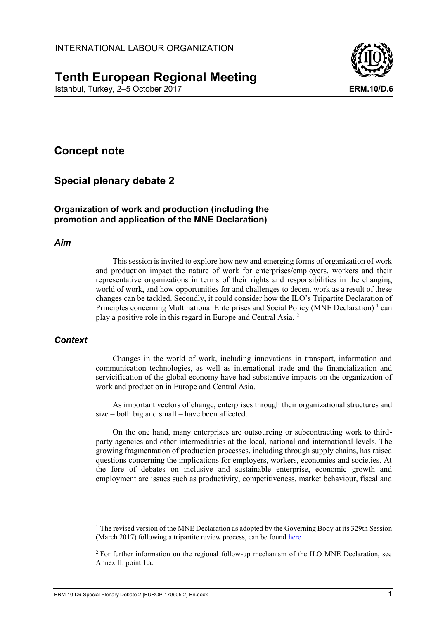# **Tenth European Regional Meeting**

Istanbul, Turkey, 2–5 October 2017 **ERM.10/D.6**



## **Concept note**

## **Special plenary debate 2**

## **Organization of work and production (including the promotion and application of the MNE Declaration)**

#### *Aim*

This session is invited to explore how new and emerging forms of organization of work and production impact the nature of work for enterprises/employers, workers and their representative organizations in terms of their rights and responsibilities in the changing world of work, and how opportunities for and challenges to decent work as a result of these changes can be tackled. Secondly, it could consider how the ILO's Tripartite Declaration of Principles concerning Multinational Enterprises and Social Policy (MNE Declaration)<sup>1</sup> can play a positive role in this regard in Europe and Central Asia. <sup>2</sup>

### *Context*

Changes in the world of work, including innovations in transport, information and communication technologies, as well as international trade and the financialization and servicification of the global economy have had substantive impacts on the organization of work and production in Europe and Central Asia.

As important vectors of change, enterprises through their organizational structures and size – both big and small – have been affected.

On the one hand, many enterprises are outsourcing or subcontracting work to thirdparty agencies and other intermediaries at the local, national and international levels. The growing fragmentation of production processes, including through supply chains, has raised questions concerning the implications for employers, workers, economies and societies. At the fore of debates on inclusive and sustainable enterprise, economic growth and employment are issues such as productivity, competitiveness, market behaviour, fiscal and

 $1$  The revised version of the MNE Declaration as adopted by the Governing Body at its 329th Session (March 2017) following a tripartite review process, can be found [here.](http://www.ilo.org/wcmsp5/groups/public/---ed_emp/---emp_ent/---multi/documents/publication/wcms_094386.pdf)

<sup>2</sup> For further information on the regional follow-up mechanism of the ILO MNE Declaration, see Annex II, point 1.a.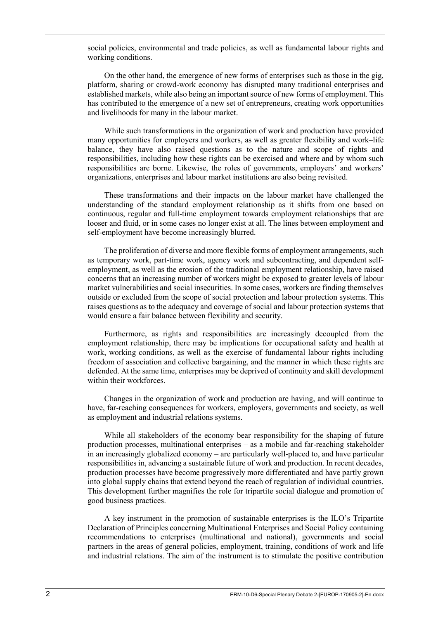social policies, environmental and trade policies, as well as fundamental labour rights and working conditions.

On the other hand, the emergence of new forms of enterprises such as those in the gig, platform, sharing or crowd-work economy has disrupted many traditional enterprises and established markets, while also being an important source of new forms of employment. This has contributed to the emergence of a new set of entrepreneurs, creating work opportunities and livelihoods for many in the labour market.

While such transformations in the organization of work and production have provided many opportunities for employers and workers, as well as greater flexibility and work–life balance, they have also raised questions as to the nature and scope of rights and responsibilities, including how these rights can be exercised and where and by whom such responsibilities are borne. Likewise, the roles of governments, employers' and workers' organizations, enterprises and labour market institutions are also being revisited.

These transformations and their impacts on the labour market have challenged the understanding of the standard employment relationship as it shifts from one based on continuous, regular and full-time employment towards employment relationships that are looser and fluid, or in some cases no longer exist at all. The lines between employment and self-employment have become increasingly blurred.

The proliferation of diverse and more flexible forms of employment arrangements, such as temporary work, part-time work, agency work and subcontracting, and dependent selfemployment, as well as the erosion of the traditional employment relationship, have raised concerns that an increasing number of workers might be exposed to greater levels of labour market vulnerabilities and social insecurities. In some cases, workers are finding themselves outside or excluded from the scope of social protection and labour protection systems. This raises questions as to the adequacy and coverage of social and labour protection systems that would ensure a fair balance between flexibility and security.

Furthermore, as rights and responsibilities are increasingly decoupled from the employment relationship, there may be implications for occupational safety and health at work, working conditions, as well as the exercise of fundamental labour rights including freedom of association and collective bargaining, and the manner in which these rights are defended. At the same time, enterprises may be deprived of continuity and skill development within their workforces.

Changes in the organization of work and production are having, and will continue to have, far-reaching consequences for workers, employers, governments and society, as well as employment and industrial relations systems.

While all stakeholders of the economy bear responsibility for the shaping of future production processes, multinational enterprises – as a mobile and far-reaching stakeholder in an increasingly globalized economy – are particularly well-placed to, and have particular responsibilities in, advancing a sustainable future of work and production. In recent decades, production processes have become progressively more differentiated and have partly grown into global supply chains that extend beyond the reach of regulation of individual countries. This development further magnifies the role for tripartite social dialogue and promotion of good business practices.

A key instrument in the promotion of sustainable enterprises is the ILO's Tripartite Declaration of Principles concerning Multinational Enterprises and Social Policy containing recommendations to enterprises (multinational and national), governments and social partners in the areas of general policies, employment, training, conditions of work and life and industrial relations. The aim of the instrument is to stimulate the positive contribution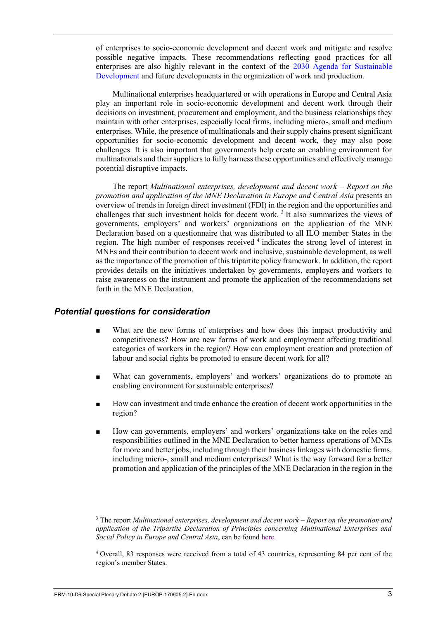of enterprises to socio-economic development and decent work and mitigate and resolve possible negative impacts. These recommendations reflecting good practices for all enterprises are also highly relevant in the context of the [2030 Agenda for Sustainable](https://sustainabledevelopment.un.org/post2015/transformingourworld)  [Development](https://sustainabledevelopment.un.org/post2015/transformingourworld) and future developments in the organization of work and production.

Multinational enterprises headquartered or with operations in Europe and Central Asia play an important role in socio-economic development and decent work through their decisions on investment, procurement and employment, and the business relationships they maintain with other enterprises, especially local firms, including micro-, small and medium enterprises. While, the presence of multinationals and their supply chains present significant opportunities for socio-economic development and decent work, they may also pose challenges. It is also important that governments help create an enabling environment for multinationals and their suppliers to fully harness these opportunities and effectively manage potential disruptive impacts.

The report *Multinational enterprises, development and decent work – Report on the promotion and application of the MNE Declaration in Europe and Central Asia* presents an overview of trends in foreign direct investment (FDI) in the region and the opportunities and challenges that such investment holds for decent work.<sup>3</sup> It also summarizes the views of governments, employers' and workers' organizations on the application of the MNE Declaration based on a questionnaire that was distributed to all ILO member States in the region. The high number of responses received <sup>4</sup> indicates the strong level of interest in MNEs and their contribution to decent work and inclusive, sustainable development, as well as the importance of the promotion of this tripartite policy framework. In addition, the report provides details on the initiatives undertaken by governments, employers and workers to raise awareness on the instrument and promote the application of the recommendations set forth in the MNE Declaration.

#### *Potential questions for consideration*

- What are the new forms of enterprises and how does this impact productivity and competitiveness? How are new forms of work and employment affecting traditional categories of workers in the region? How can employment creation and protection of labour and social rights be promoted to ensure decent work for all?
- What can governments, employers' and workers' organizations do to promote an enabling environment for sustainable enterprises?
- How can investment and trade enhance the creation of decent work opportunities in the region?
- How can governments, employers' and workers' organizations take on the roles and responsibilities outlined in the MNE Declaration to better harness operations of MNEs for more and better jobs, including through their business linkages with domestic firms, including micro-, small and medium enterprises? What is the way forward for a better promotion and application of the principles of the MNE Declaration in the region in the

<sup>3</sup> The report *Multinational enterprises, development and decent work – Report on the promotion and application of the Tripartite Declaration of Principles concerning Multinational Enterprises and Social Policy in Europe and Central Asia*, can be found [here.](http://www.ilo.org/wcmsp5/groups/public/---europe/---ro-geneva/documents/meetingdocument/wcms_574188.pdf)

<sup>4</sup> Overall, 83 responses were received from a total of 43 countries, representing 84 per cent of the region's member States.